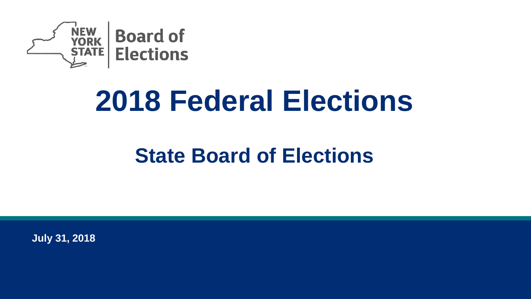

# **2018 Federal Elections**

### **State Board of Elections**

**July 31, 2018**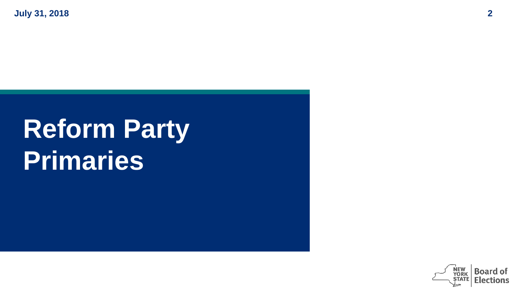# **Reform Party Primaries**

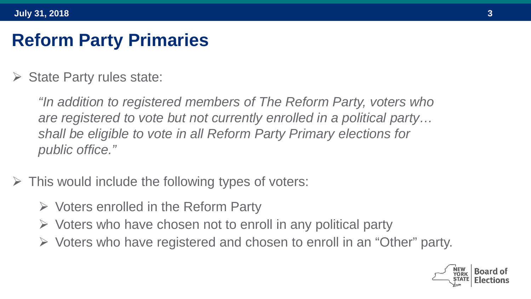### **Reform Party Primaries**

 $\triangleright$  State Party rules state:

*"In addition to registered members of The Reform Party, voters who are registered to vote but not currently enrolled in a political party… shall be eligible to vote in all Reform Party Primary elections for public office."* 

- $\triangleright$  This would include the following types of voters:
	- $\triangleright$  Voters enrolled in the Reform Party
	- $\triangleright$  Voters who have chosen not to enroll in any political party
	- $\triangleright$  Voters who have registered and chosen to enroll in an "Other" party.

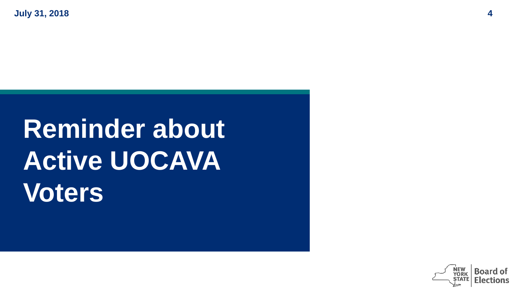# **Reminder about Active UOCAVA Voters**

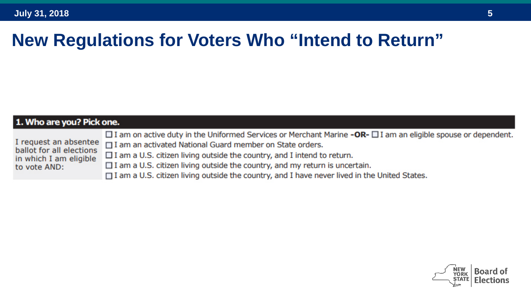| 1. Who are you? Pick one. |                                                                    |                                                                                                                                                                                                                                                                                                                                                                                                                                                                                                     |  |  |  |  |  |
|---------------------------|--------------------------------------------------------------------|-----------------------------------------------------------------------------------------------------------------------------------------------------------------------------------------------------------------------------------------------------------------------------------------------------------------------------------------------------------------------------------------------------------------------------------------------------------------------------------------------------|--|--|--|--|--|
|                           | ballot for all elections<br>in which I am eligible<br>to vote AND: | $\Box$ I am on active duty in the Uniformed Services or Merchant Marine <b>-OR-</b> $\Box$ I am an eligible spouse or dependent.<br>I request an absentee $\Box$ I am an activated National Guard member on State orders.<br>$\Box$ I am a U.S. citizen living outside the country, and I intend to return.<br>$\Box$ I am a U.S. citizen living outside the country, and my return is uncertain.<br>□ I am a U.S. citizen living outside the country, and I have never lived in the United States. |  |  |  |  |  |

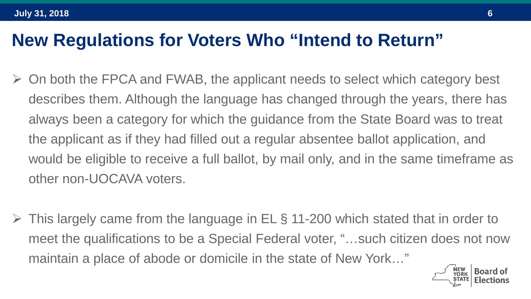- $\triangleright$  On both the FPCA and FWAB, the applicant needs to select which category best describes them. Although the language has changed through the years, there has always been a category for which the guidance from the State Board was to treat the applicant as if they had filled out a regular absentee ballot application, and would be eligible to receive a full ballot, by mail only, and in the same timeframe as other non-UOCAVA voters.
- $\triangleright$  This largely came from the language in EL § 11-200 which stated that in order to meet the qualifications to be a Special Federal voter, "…such citizen does not now maintain a place of abode or domicile in the state of New York…"

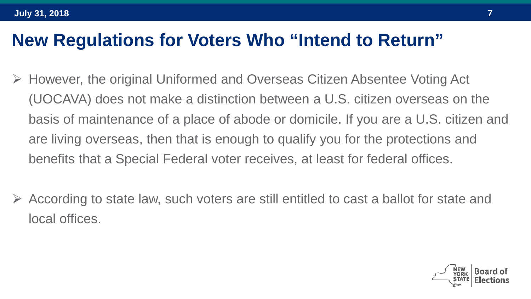- However, the original Uniformed and Overseas Citizen Absentee Voting Act (UOCAVA) does not make a distinction between a U.S. citizen overseas on the basis of maintenance of a place of abode or domicile. If you are a U.S. citizen and are living overseas, then that is enough to qualify you for the protections and benefits that a Special Federal voter receives, at least for federal offices.
- According to state law, such voters are still entitled to cast a ballot for state and local offices.

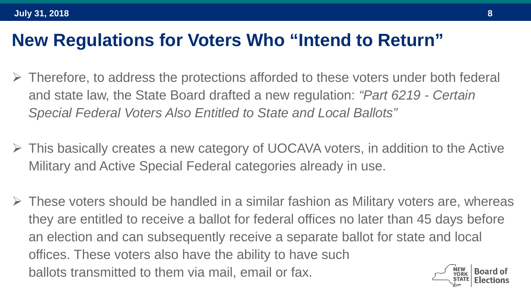- $\triangleright$  Therefore, to address the protections afforded to these voters under both federal and state law, the State Board drafted a new regulation: *"Part 6219 - Certain Special Federal Voters Also Entitled to State and Local Ballots"*
- $\triangleright$  This basically creates a new category of UOCAVA voters, in addition to the Active Military and Active Special Federal categories already in use.
- $\triangleright$  These voters should be handled in a similar fashion as Military voters are, whereas they are entitled to receive a ballot for federal offices no later than 45 days before an election and can subsequently receive a separate ballot for state and local offices. These voters also have the ability to have such ballots transmitted to them via mail, email or fax.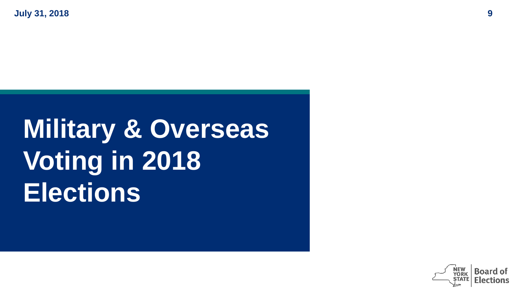# **Military & Overseas Voting in 2018 Elections**

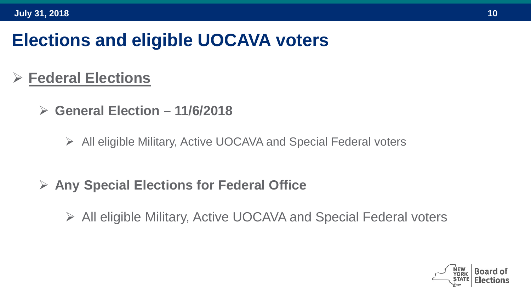### **Elections and eligible UOCAVA voters**

#### **Federal Elections**

- **General Election – 11/6/2018**
	- All eligible Military, Active UOCAVA and Special Federal voters
- **Any Special Elections for Federal Office**
	- All eligible Military, Active UOCAVA and Special Federal voters

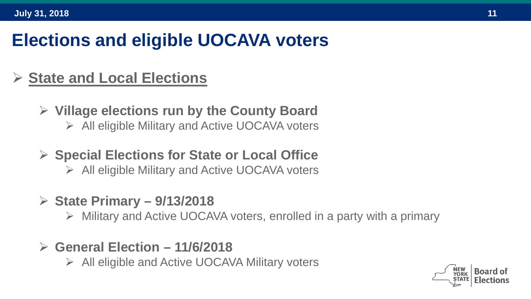### **Elections and eligible UOCAVA voters**

#### **State and Local Elections**

- **Village elections run by the County Board**
	- $\triangleright$  All eligible Military and Active UOCAVA voters
- **Special Elections for State or Local Office**
	- $\triangleright$  All eligible Military and Active UOCAVA voters
- **State Primary – 9/13/2018**
	- $\triangleright$  Military and Active UOCAVA voters, enrolled in a party with a primary
- **General Election – 11/6/2018**
	- All eligible and Active UOCAVA Military voters

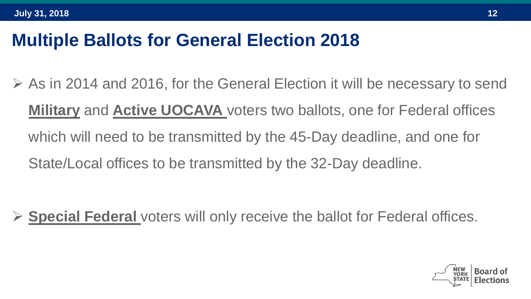### **Multiple Ballots for General Election 2018**

 $\triangleright$  As in 2014 and 2016, for the General Election it will be necessary to send **Military** and **Active UOCAVA** voters two ballots, one for Federal offices which will need to be transmitted by the 45-Day deadline, and one for State/Local offices to be transmitted by the 32-Day deadline.

**Special Federal** voters will only receive the ballot for Federal offices.

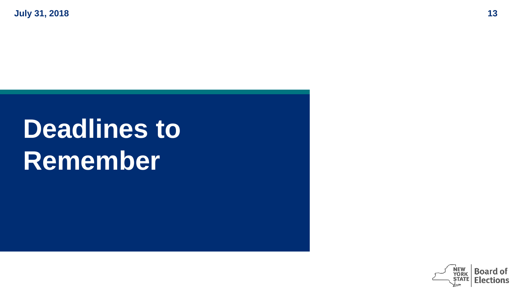# **Deadlines to Remember**

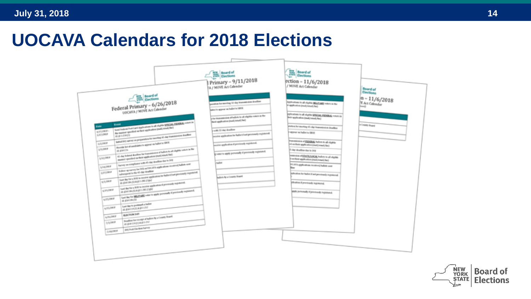#### **UOCAVA Calendars for 2018 Elections**

|                                                                                                                                                            |                                                                                                                                         | <b>Board of</b><br>Time Elections<br>Primary - 9/11/2018<br>A / MOVE Act Calendar                   | <b>Board of</b><br>Elections<br>ection - 11/6/2018<br>/ MOVE Act Calendar                     | <b>Board of</b>              |
|------------------------------------------------------------------------------------------------------------------------------------------------------------|-----------------------------------------------------------------------------------------------------------------------------------------|-----------------------------------------------------------------------------------------------------|-----------------------------------------------------------------------------------------------|------------------------------|
| Federal Primary - 6/26/2018<br>UOCAVA / MOVE Art Calendar                                                                                                  |                                                                                                                                         | pandom for exerting 32 day investments deadline                                                     | Applications to all eligible \$60.00 ABC volume in the                                        | Elections<br>$n - 11/6/2018$ |
|                                                                                                                                                            |                                                                                                                                         | Safes for appear on foated to SBOE                                                                  | in application (mail lense), fact                                                             | E Art Calendar               |
|                                                                                                                                                            |                                                                                                                                         | in the teameration of bullets to all eligible colors in the<br>Bell application (mail, lates), fact | pplications to all shalles SPECIAL FEDERAL voters in<br>Belt application (mail/small/fax)     |                              |
| <b>Date</b>                                                                                                                                                | Send Select Political Applications to all slights SESSAL FIDERAL colors in                                                              |                                                                                                     | protion for mosting 45-sky truncesiveism deadline                                             | in Creating Streets          |
| AVOIDABLE -<br><b>SILOMA</b>                                                                                                                               | the matter specified on their application (mail/could/fiel)<br><b>B-\$11-79-71</b>                                                      | with 10 day deadless<br>exceles application for ballot if not previously registered.                | were relates that                                                                             |                              |
| <b>SOUTHER</b>                                                                                                                                             | halful (NT) varies on proportion for moving a), day transmission deadless<br>Provide last all catalysistes to appear us halled to SBOE. | works systemist a precisely registered.                                                             | Percentiven of FEEDERS, beliefs to all clipble<br>ed on their application (mail, lenail, fac) |                              |
| 5/5/2978                                                                                                                                                   |                                                                                                                                         |                                                                                                     | 5-day deadline due to DOE                                                                     |                              |
| all day federal deadline for francestories of builder to all challen volume in the<br>menter specified on their spakeston (mail, usual, ford)<br>5/52/2008 |                                                                                                                                         | Contacts apply personally if prestorely registance                                                  | control on of ERATE/LOCAL bullets to all clipbin-<br>an their application (mail/crasi/fac)    |                              |
| STATIST                                                                                                                                                    | Survey on compliance with 45-day deadline due to (40)<br>Follows up nor vey for 203, on 100, 203, apple please received, bullate was    | <b>hallot</b>                                                                                       | bee shalled perform moderal page 470.20<br>line.                                              |                              |
| subsequent to the 45-day deadline<br><b>MOVIMA</b><br>lust be for a to it is receive spikeates for belot if not previously registered.                     |                                                                                                                                         | beliefs by a County Board                                                                           | releation for ballot if and previously registered.                                            |                              |
| ALCOHOL                                                                                                                                                    | <b>IS \$76100 (S) \$411-262 (CBA)</b><br>Last day for a \$1.5 to receive application if previously supposed.                            |                                                                                                     | pleation if previously registered.                                                            |                              |
| A/15/W/F                                                                                                                                                   | IS EROBISED IN CON-<br>Let be to write an under to apply personally if producely registered.                                            |                                                                                                     | goods pursuaughy of generating magnetized.                                                    |                              |
| ADVANCE                                                                                                                                                    | <b>GLAN-TRICH</b>                                                                                                                       |                                                                                                     |                                                                                               |                              |
| 6/25/MW                                                                                                                                                    | Last day to postmark a hallot<br>疾動的時間を使うがす                                                                                             |                                                                                                     |                                                                                               |                              |
| N/Pu7PER                                                                                                                                                   | BACTON SAY                                                                                                                              |                                                                                                     |                                                                                               |                              |
| 1/1/WW                                                                                                                                                     | Excellent for investor of bullets by a County Street<br><b>GLENDINGS ASSISTED</b>                                                       |                                                                                                     |                                                                                               |                              |
| <b>DOM/DAY</b>                                                                                                                                             | DOL Paul Clayton Summy                                                                                                                  |                                                                                                     |                                                                                               |                              |
|                                                                                                                                                            |                                                                                                                                         |                                                                                                     |                                                                                               |                              |
|                                                                                                                                                            |                                                                                                                                         |                                                                                                     |                                                                                               |                              |

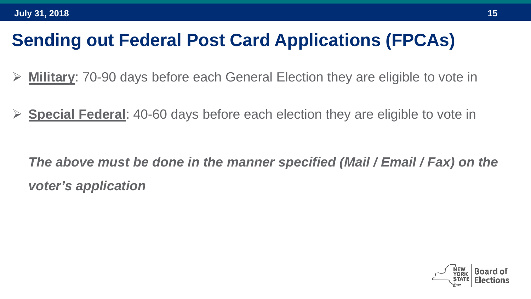### **Sending out Federal Post Card Applications (FPCAs)**

- **Military**: 70-90 days before each General Election they are eligible to vote in
- **Special Federal**: 40-60 days before each election they are eligible to vote in

*The above must be done in the manner specified (Mail / Email / Fax) on the voter's application*

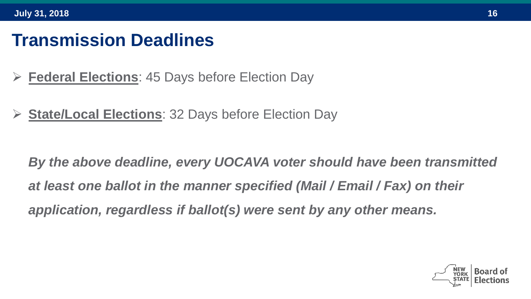#### **Transmission Deadlines**

- **Federal Elections**: 45 Days before Election Day
- **State/Local Elections**: 32 Days before Election Day

*By the above deadline, every UOCAVA voter should have been transmitted at least one ballot in the manner specified (Mail / Email / Fax) on their application, regardless if ballot(s) were sent by any other means.*

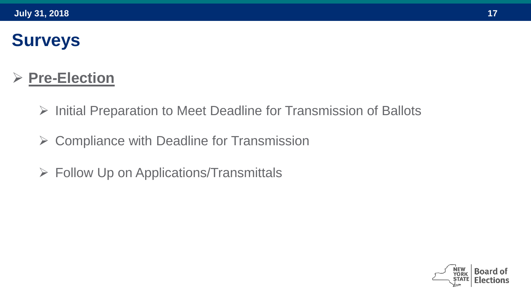### **Surveys**

#### **Pre-Election**

- $\triangleright$  Initial Preparation to Meet Deadline for Transmission of Ballots
- $\triangleright$  Compliance with Deadline for Transmission
- $\triangleright$  Follow Up on Applications/Transmittals

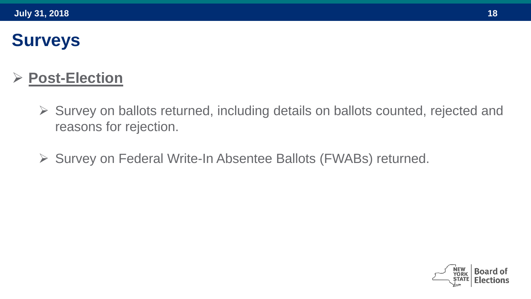### **Surveys**

#### **Post-Election**

- Survey on ballots returned, including details on ballots counted, rejected and reasons for rejection.
- ▶ Survey on Federal Write-In Absentee Ballots (FWABs) returned.

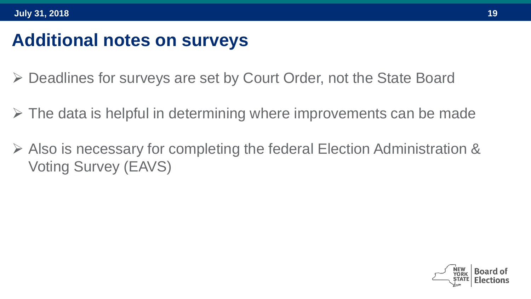### **Additional notes on surveys**

- Deadlines for surveys are set by Court Order, not the State Board
- $\triangleright$  The data is helpful in determining where improvements can be made
- $\triangleright$  Also is necessary for completing the federal Election Administration & Voting Survey (EAVS)

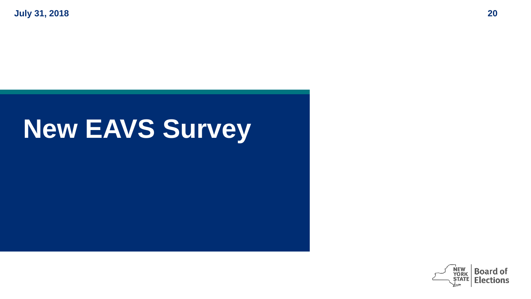## **New EAVS Survey**

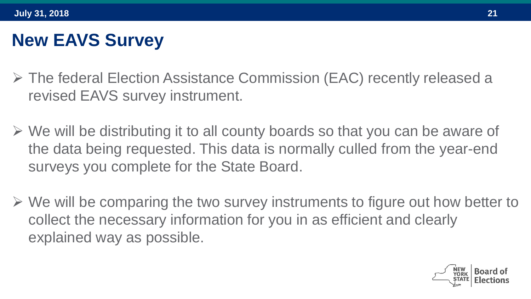### **New EAVS Survey**

- The federal Election Assistance Commission (EAC) recently released a revised EAVS survey instrument.
- $\triangleright$  We will be distributing it to all county boards so that you can be aware of the data being requested. This data is normally culled from the year-end surveys you complete for the State Board.
- $\triangleright$  We will be comparing the two survey instruments to figure out how better to collect the necessary information for you in as efficient and clearly explained way as possible.

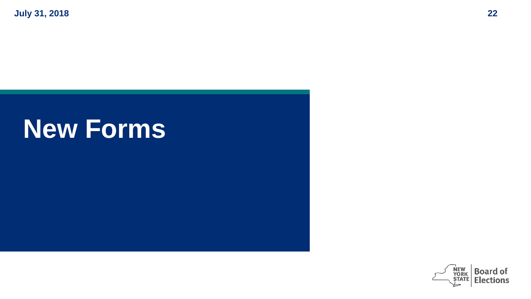## **New Forms**

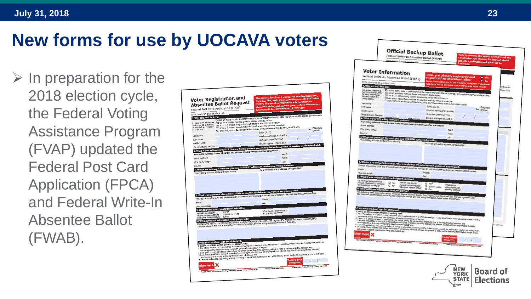### **New forms for use by UOCAVA voters**

 $\triangleright$  In preparation for the 2018 election cycle, the Federal Voting Assistance Program (FVAP) updated the Federal Post Card Application (FPCA) and Federal Write-In Absentee Ballot (FWAB).